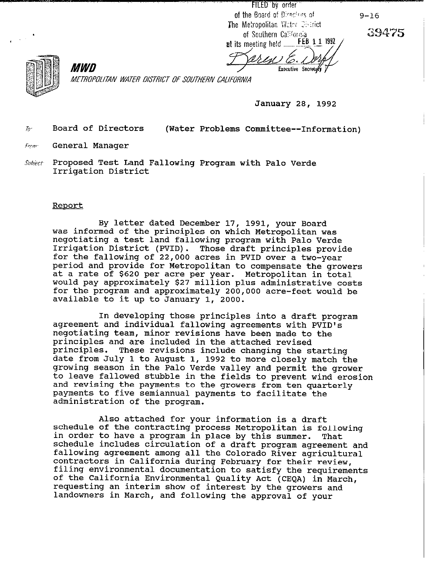FILED by order of the Board of Directors of  $9-16$ The Metropolitan Water District of Southern California

FEB 1 1 1992 at its meeting held. ハ.

METROPOLITAN WATER DISTRICT OF SOUTHERN CALIFORNIA

January 28, 1992

Executive Secretary

ID: Board of Directors (Water Problems Committee--Information)

From: General Manager

*MWD* 

*Subiecr.* Proposed Test Land Fallowing Program with Palo Verde Irrigation District

#### Reoort

By letter dated December 17, 1991, your Board was informed of the principles on which Metropolitan was negotiating a test land fallowing program with Palo Verde Irrigation District (PVID). Those draft principles provide for the fallowing of 22,000 acres in PVID over a two-year period and provide for Metropolitan to compensate the growers at a rate of \$620 per acre per year. Metropolitan in total would pay approximately \$27 million plus administrative costs for the program and approximately 200,000 acre-feet would be available to it up to January 1, 2000.

In developing those principles into a draft program agreement and individual fallowing agreements with PVID's negotiating team, minor revisions have been made to the principles and are included in the attached revised principles. These revisions include changing the starting date from July 1 to August 1, 1992 to more closely match the growing season in the Palo Verde valley and permit the grower to leave fallowed stubble in the fields to prevent wind erosion and revising the payments to the growers from ten quarterly payments to five semiannual payments to facilitate the administration of the program.

Also attached for your information is a draft schedule of the contracting process Metropolitan is following<br>in order to have a program in place by this summer. That in order to have a program in place by this summer. schedule includes circulation of a draft program agreement and fallowing agreement among all the Colorado River agricultural contractors in California during February for their review, filing environmental documentation to satisfy the requirements of the California Environmental Quality Act (CEQA) in March, requesting an interim show of interest by the growers and landowners in March, and following the approval of your

39475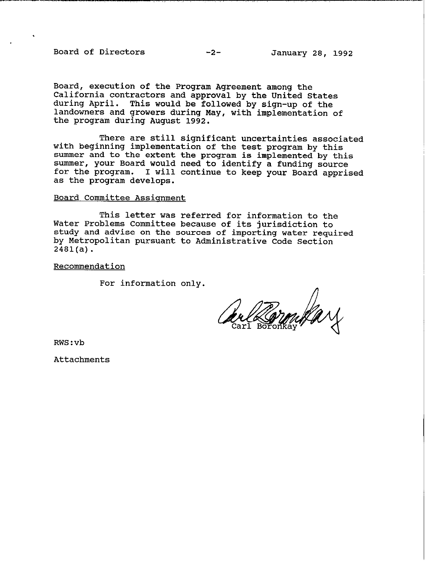**Board of Directors -2- January 28, 1992** 

**Board, execution of the Program Agreement among the California contractors and approval by the United States during April. This would be followed by sign-up of the landowners and growers during May, with implementation of the program during August 1992.** 

**There are still significant uncertainties associated with beginning implementation of the test program by this summer and to the extent the program is implemented by this summer, your Board would need to identify a funding source for the program. I will continue to keep your Board apprised as the program develops.** 

## Board Committee Assignment

**This letter was referred for information to the Water Problems Committee because of its jurisdiction to study and advise on the sources of importing water required by Metropolitan pursuant to Administrative Code Section 2481(a).** 

#### **Recommendation**

**For information only.** 

**n** 

**RWS:vb** 

**Attachments**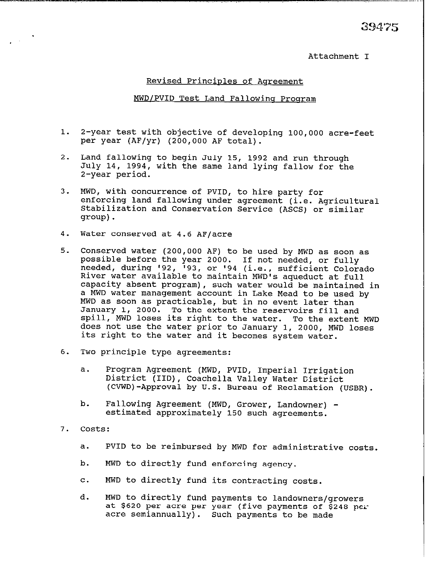39475

Attachment I

# Revised Principles of Aqreement

MWD/PVID Test Land Fallowing Program

- 1. 2-year test with objective of developing 100,000 acre-feet per year (AF/yr) (200,000 AF total).
- 2. Land fallowing to begin July 15, 1992 and run through July 14, 1994, with the same land lying fallow for the 2-year period.
- 3. MWD, with concurrence of PVID, to hire party for enforcing land fallowing under agreement (i.e. Agricultural Stabilization and Conservation Service (ASCS) or similar group).
- 4. Water conserved at 4.6 AF/acre
- 5. Conserved water (200,000 AF) to be used by MWD as soon as possible before the year 2000. If not needed, or fully needed, during '92, '93, or '94 (i.e., sufficient Colorado River water available to maintain MWD's aqueduct at full capacity absent program), such water would be maintained in a MWD water management account in Lake Mead to be used by MWD as soon as practicable, but in no event later than January 1, 2000. To the extent the reservoirs fill and spill, MWD loses its right to the water. To the extent MWD does not use the water prior to January 1, 2000, MWD loses its right to the water and it becomes system water.
- 6. Two principle type agreements:
	- a. Program Agreement (MWD, PVID, Imperial Irrigation District (IID), Coachella Valley Water District (CVWD)-Approval by U.S. Bureau of Reclamation (USBR).
	- b. Fallowing Agreement (MWD, Grower, Landowner) estimated approximately 150 such agreements.
- -7. costs:
	- a. PVID to be reimbursed by MWD for administrative costs.
	- b. MWD to directly fund enforcing agency.
	- **C.** MWD to directly fund its contracting costs.
	- d. MWD to directly fund payments to landowners/growers at \$620 per acre per year (five payments of \$248 pciacre semiannually). Such payments to be made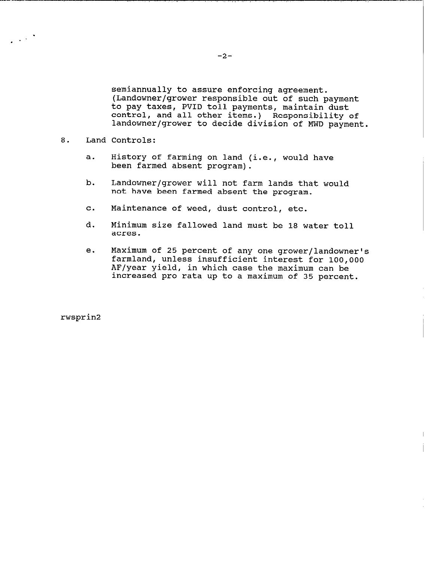**semiannually to assure enforcing agreement. (Landowner/grower responsible out of such payment to pay taxes, PVID toll payments, maintain dust control, and all other items.) Responsibility of landowner/grower to decide division of MWD payment.** 

**8. Land Controls:** 

 $\mathbf{r}$ 

- **a. History of farming on land (i.e., would have been farmed absent program).**
- **b. Landowner/grower will not farm lands that would not have been farmed absent the program.**
- **C. Maintenance of weed, dust control, etc.**
- **d. Minimum size fallowed land must be 18 water toll acres.**
- **e. Maximum of 25 percent of any one grower/landowner's farmland, unless insufficient interest for 100,000 AF/year yield, in which case the maximum can be increased pro rata up to a maximum of 35 percent.**

**rwsprin2**